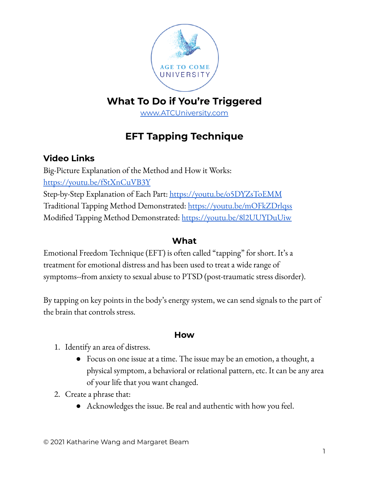

## **What To Do if You're Triggered**

[www.ATCUniversity.com](http://www.atcuniversity.com)

# **EFT Tapping Technique**

## **Video Links**

Big-Picture Explanation of the Method and How it Works: <https://youtu.be/fStXnCuVB3Y> Step-by-Step Explanation of Each Part: <https://youtu.be/o5DYZsToEMM> Traditional Tapping Method Demonstrated: <https://youtu.be/mOFkZDrlqss> Modified Tapping Method Demonstrated: <https://youtu.be/8l2UUYDuUiw>

#### **What**

Emotional Freedom Technique (EFT) is often called "tapping" for short. It's a treatment for emotional distress and has been used to treat a wide range of symptoms--from anxiety to sexual abuse to PTSD (post-traumatic stress disorder).

By tapping on key points in the body's energy system, we can send signals to the part of the brain that controls stress.

#### **How**

- 1. Identify an area of distress.
	- Focus on one issue at a time. The issue may be an emotion, a thought, a physical symptom, a behavioral or relational pattern, etc. It can be any area of your life that you want changed.
- 2. Create a phrase that:
	- Acknowledges the issue. Be real and authentic with how you feel.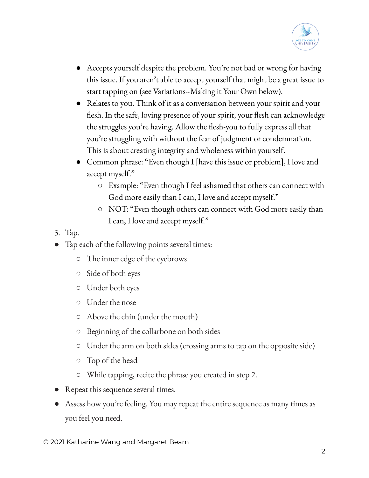

- Accepts yourself despite the problem. You're not bad or wrong for having this issue. If you aren't able to accept yourself that might be a great issue to start tapping on (see Variations--Making it Your Own below).
- Relates to you. Think of it as a conversation between your spirit and your flesh. In the safe, loving presence of your spirit, your flesh can acknowledge the struggles you're having. Allow the flesh-you to fully express all that you're struggling with without the fear of judgment or condemnation. This is about creating integrity and wholeness within yourself.
- Common phrase: "Even though I [have this issue or problem], I love and accept myself."
	- Example: "Even though I feel ashamed that others can connect with God more easily than I can, I love and accept myself."
	- NOT: "Even though others can connect with God more easily than I can, I love and accept myself."
- 3. Tap.
- Tap each of the following points several times:
	- The inner edge of the eyebrows
	- Side of both eyes
	- Under both eyes
	- Under the nose
	- Above the chin (under the mouth)
	- Beginning of the collarbone on both sides
	- Under the arm on both sides (crossing arms to tap on the opposite side)
	- Top of the head
	- While tapping, recite the phrase you created in step 2.
- Repeat this sequence several times.
- Assess how you're feeling. You may repeat the entire sequence as many times as you feel you need.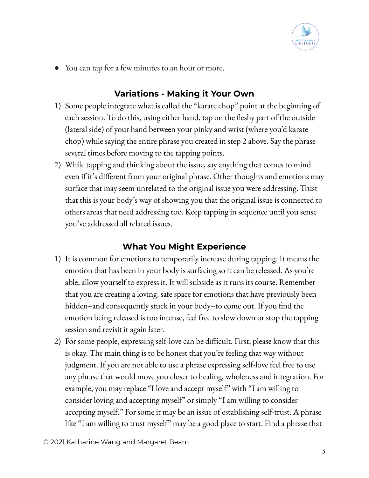

● You can tap for a few minutes to an hour or more.

## **Variations - Making it Your Own**

- 1) Some people integrate what is called the "karate chop" point at the beginning of each session. To do this, using either hand, tap on the fleshy part of the outside (lateral side) of your hand between your pinky and wrist (where you'd karate chop) while saying the entire phrase you created in step 2 above. Say the phrase several times before moving to the tapping points.
- 2) While tapping and thinking about the issue, say anything that comes to mind even if it's different from your original phrase. Other thoughts and emotions may surface that may seem unrelated to the original issue you were addressing. Trust that this is your body's way of showing you that the original issue is connected to others areas that need addressing too. Keep tapping in sequence until you sense you've addressed all related issues.

## **What You Might Experience**

- 1) It is common for emotions to temporarily increase during tapping. It means the emotion that has been in your body is surfacing so it can be released. As you're able, allow yourself to express it. It will subside as it runs its course. Remember that you are creating a loving, safe space for emotions that have previously been hidden--and consequently stuck in your body--to come out. If you find the emotion being released is too intense, feel free to slow down or stop the tapping session and revisit it again later.
- 2) For some people, expressing self-love can be difficult. First, please know that this is okay. The main thing is to be honest that you're feeling that way without judgment. If you are not able to use a phrase expressing self-love feel free to use any phrase that would move you closer to healing, wholeness and integration. For example, you may replace "I love and accept myself" with "I am willing to consider loving and accepting myself" or simply "I am willing to consider accepting myself." For some it may be an issue of establishing self-trust. A phrase like "I am willing to trust myself" may be a good place to start. Find a phrase that